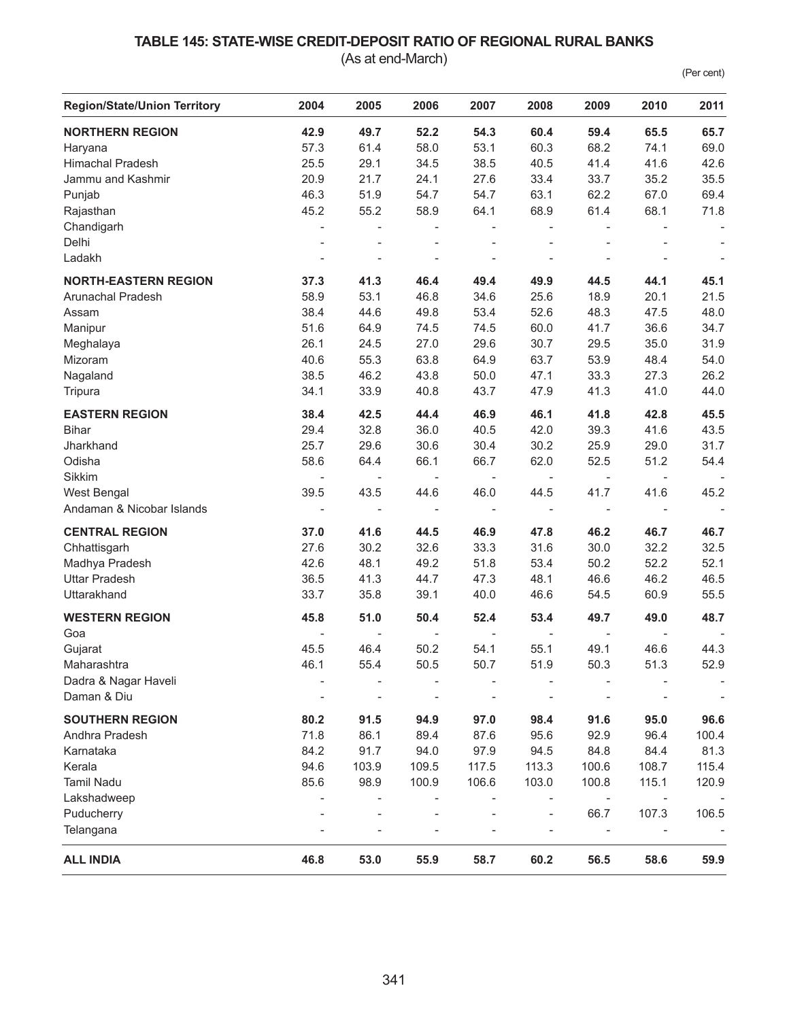## **TABLE 145: STATE-WISE CREDIT-DEPOSIT RATIO OF REGIONAL RURAL BANKS**

(As at end-March)

(Per cent)

| <b>Region/State/Union Territory</b> | 2004                     | 2005                     | 2006                         | 2007                     | 2008                     | 2009                     | 2010                     | 2011                     |
|-------------------------------------|--------------------------|--------------------------|------------------------------|--------------------------|--------------------------|--------------------------|--------------------------|--------------------------|
| <b>NORTHERN REGION</b>              | 42.9                     | 49.7                     | 52.2                         | 54.3                     | 60.4                     | 59.4                     | 65.5                     | 65.7                     |
| Haryana                             | 57.3                     | 61.4                     | 58.0                         | 53.1                     | 60.3                     | 68.2                     | 74.1                     | 69.0                     |
| <b>Himachal Pradesh</b>             | 25.5                     | 29.1                     | 34.5                         | 38.5                     | 40.5                     | 41.4                     | 41.6                     | 42.6                     |
| Jammu and Kashmir                   | 20.9                     | 21.7                     | 24.1                         | 27.6                     | 33.4                     | 33.7                     | 35.2                     | 35.5                     |
| Punjab                              | 46.3                     | 51.9                     | 54.7                         | 54.7                     | 63.1                     | 62.2                     | 67.0                     | 69.4                     |
| Rajasthan                           | 45.2                     | 55.2                     | 58.9                         | 64.1                     | 68.9                     | 61.4                     | 68.1                     | 71.8                     |
| Chandigarh                          | $\overline{\phantom{a}}$ |                          |                              | $\overline{\phantom{a}}$ |                          | $\overline{\phantom{a}}$ |                          |                          |
| Delhi                               | $\overline{a}$           | $\bar{a}$                | $\overline{a}$               | $\overline{\phantom{a}}$ | $\overline{a}$           | $\overline{\phantom{a}}$ |                          | $\overline{\phantom{a}}$ |
| Ladakh                              | $\overline{a}$           |                          |                              |                          |                          | $\overline{\phantom{a}}$ |                          | $\overline{\phantom{a}}$ |
| <b>NORTH-EASTERN REGION</b>         | 37.3                     | 41.3                     | 46.4                         | 49.4                     | 49.9                     | 44.5                     | 44.1                     | 45.1                     |
| Arunachal Pradesh                   | 58.9                     | 53.1                     | 46.8                         | 34.6                     | 25.6                     | 18.9                     | 20.1                     | 21.5                     |
| Assam                               | 38.4                     | 44.6                     | 49.8                         | 53.4                     | 52.6                     | 48.3                     | 47.5                     | 48.0                     |
| Manipur                             | 51.6                     | 64.9                     | 74.5                         | 74.5                     | 60.0                     | 41.7                     | 36.6                     | 34.7                     |
| Meghalaya                           | 26.1                     | 24.5                     | 27.0                         | 29.6                     | 30.7                     | 29.5                     | 35.0                     | 31.9                     |
| Mizoram                             | 40.6                     | 55.3                     | 63.8                         | 64.9                     | 63.7                     | 53.9                     | 48.4                     | 54.0                     |
| Nagaland                            | 38.5                     | 46.2                     | 43.8                         | 50.0                     | 47.1                     | 33.3                     | 27.3                     | 26.2                     |
| Tripura                             | 34.1                     | 33.9                     | 40.8                         | 43.7                     | 47.9                     | 41.3                     | 41.0                     | 44.0                     |
| <b>EASTERN REGION</b>               | 38.4                     | 42.5                     | 44.4                         | 46.9                     | 46.1                     | 41.8                     | 42.8                     | 45.5                     |
| <b>Bihar</b>                        | 29.4                     | 32.8                     | 36.0                         | 40.5                     | 42.0                     | 39.3                     | 41.6                     | 43.5                     |
| Jharkhand                           | 25.7                     | 29.6                     | 30.6                         | 30.4                     | 30.2                     | 25.9                     | 29.0                     | 31.7                     |
| Odisha                              | 58.6                     | 64.4                     | 66.1                         | 66.7                     | 62.0                     | 52.5                     | 51.2                     | 54.4                     |
| Sikkim                              | $\overline{\phantom{a}}$ | $\overline{\phantom{a}}$ | $\overline{\phantom{0}}$     | $\overline{\phantom{a}}$ |                          | $\overline{\phantom{a}}$ | $\overline{\phantom{a}}$ | $\overline{\phantom{a}}$ |
| West Bengal                         | 39.5                     | 43.5                     | 44.6                         | 46.0                     | 44.5                     | 41.7                     | 41.6                     | 45.2                     |
| Andaman & Nicobar Islands           | $\overline{\phantom{a}}$ | $\overline{\phantom{a}}$ | $\qquad \qquad \blacksquare$ | $\overline{\phantom{a}}$ | $\overline{\phantom{a}}$ | $\overline{\phantom{a}}$ | $\overline{\phantom{a}}$ | $\overline{\phantom{a}}$ |
| <b>CENTRAL REGION</b>               | 37.0                     | 41.6                     | 44.5                         | 46.9                     | 47.8                     | 46.2                     | 46.7                     | 46.7                     |
| Chhattisgarh                        | 27.6                     | 30.2                     | 32.6                         | 33.3                     | 31.6                     | 30.0                     | 32.2                     | 32.5                     |
| Madhya Pradesh                      | 42.6                     | 48.1                     | 49.2                         | 51.8                     | 53.4                     | 50.2                     | 52.2                     | 52.1                     |
| <b>Uttar Pradesh</b>                | 36.5                     | 41.3                     | 44.7                         | 47.3                     | 48.1                     | 46.6                     | 46.2                     | 46.5                     |
| Uttarakhand                         | 33.7                     | 35.8                     | 39.1                         | 40.0                     | 46.6                     | 54.5                     | 60.9                     | 55.5                     |
| <b>WESTERN REGION</b>               | 45.8                     | 51.0                     | 50.4                         | 52.4                     | 53.4                     | 49.7                     | 49.0                     | 48.7                     |
| Goa                                 | $\overline{\phantom{a}}$ | $\overline{\phantom{a}}$ | $\overline{\phantom{0}}$     | $\overline{\phantom{a}}$ | $\overline{\phantom{a}}$ | $\overline{\phantom{a}}$ | $\overline{\phantom{a}}$ |                          |
| Gujarat                             | 45.5                     | 46.4                     | 50.2                         | 54.1                     | 55.1                     | 49.1                     | 46.6                     | 44.3                     |
| Maharashtra                         | 46.1                     | 55.4                     | 50.5                         | 50.7                     | 51.9                     | 50.3                     | 51.3                     | 52.9                     |
| Dadra & Nagar Haveli                |                          |                          |                              |                          |                          |                          |                          |                          |
| Daman & Diu                         |                          |                          |                              |                          |                          |                          |                          |                          |
| <b>SOUTHERN REGION</b>              | 80.2                     | 91.5                     | 94.9                         | 97.0                     | 98.4                     | 91.6                     | 95.0                     | 96.6                     |
| Andhra Pradesh                      | 71.8                     | 86.1                     | 89.4                         | 87.6                     | 95.6                     | 92.9                     | 96.4                     | 100.4                    |
| Karnataka                           | 84.2                     | 91.7                     | 94.0                         | 97.9                     | 94.5                     | 84.8                     | 84.4                     | 81.3                     |
| Kerala                              | 94.6                     | 103.9                    | 109.5                        | 117.5                    | 113.3                    | 100.6                    | 108.7                    | 115.4                    |
| <b>Tamil Nadu</b>                   | 85.6                     | 98.9                     | 100.9                        | 106.6                    | 103.0                    | 100.8                    | 115.1                    | 120.9                    |
| Lakshadweep                         |                          |                          |                              |                          |                          |                          |                          |                          |
| Puducherry                          |                          |                          |                              |                          |                          | 66.7                     | 107.3                    | 106.5                    |
| Telangana                           |                          |                          |                              |                          |                          | $\overline{\phantom{a}}$ |                          |                          |
| <b>ALL INDIA</b>                    | 46.8                     | 53.0                     | 55.9                         | 58.7                     | 60.2                     | 56.5                     | 58.6                     | 59.9                     |